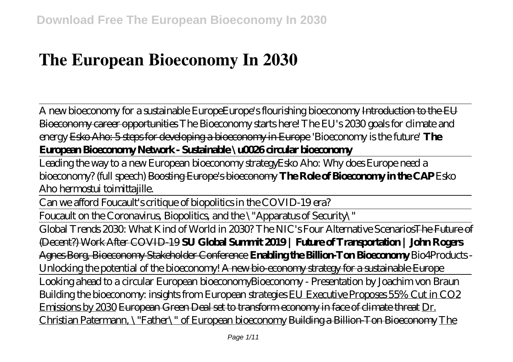# **The European Bioeconomy In 2030**

A new bioeconomy for a sustainable Europe*Europe's flourishing bioeconomy* Introduction to the EU Bioeconomy career opportunities *The Bioeconomy starts here! The EU's 2030 goals for climate and energy* Esko Aho: 5 steps for developing a bioeconomy in Europe *'Bioeconomy is the future'* **The European Bioeconomy Network - Sustainable \u0026 circular bioeconomy**

Leading the way to a new European bioeconomy strategy*Esko Aho: Why does Europe need a bioeconomy? (full speech)* Boosting Europe's bioeconomy **The Role of Bioeconomy in the CAP** *Esko Aho hermostui toimittajille.*

Can we afford Foucault's critique of biopolitics in the COVID-19 era?

Foucault on the Coronavirus, Biopolitics, and the \"Apparatus of Security\"

Global Trends 2030: What Kind of World in 2030? The NIC's Four Alternative ScenariosThe Future of (Decent?) Work After COVID-19 **SU Global Summit 2019 | Future of Transportation | John Rogers** Agnes Borg, Bioeconomy Stakeholder Conference **Enabling the Billion-Ton Bioeconomy** Bio4Products - Unlocking the potential of the bioeconomy! A new bio-economy strategy for a sustainable Europe Looking ahead to a circular European bioeconomy*Bioeconomy - Presentation by Joachim von Braun Building the bioeconomy: insights from European strategies* EU Executive Proposes 55% Cut in CO2 Emissions by 2030 European Green Deal set to transform economy in face of climate threat Dr. Christian Patermann, \"Father\" of European bioeconomy Building a Billion-Ton Bioeconomy The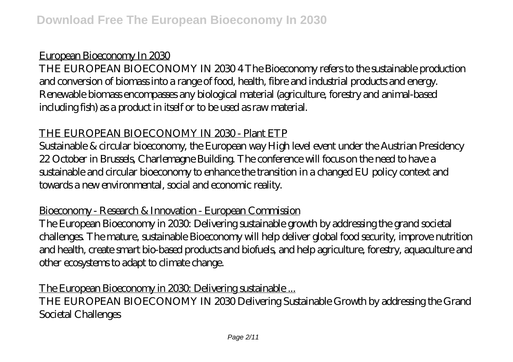# European Bioeconomy In 2030

THE EUROPEAN BIOECONOMY IN 2030 4 The Bioeconomy refers to the sustainable production and conversion of biomass into a range of food, health, fibre and industrial products and energy. Renewable biomass encompasses any biological material (agriculture, forestry and animal-based including fish) as a product in itself or to be used as raw material.

## THE EUROPEAN BIOECONOMY IN 2030 - Plant ETP

Sustainable & circular bioeconomy, the European way High level event under the Austrian Presidency 22 October in Brussels, Charlemagne Building. The conference will focus on the need to have a sustainable and circular bioeconomy to enhance the transition in a changed EU policy context and towards a new environmental, social and economic reality.

# Bioeconomy - Research & Innovation - European Commission

The European Bioeconomy in 2030: Delivering sustainable growth by addressing the grand societal challenges. The mature, sustainable Bioeconomy will help deliver global food security, improve nutrition and health, create smart bio-based products and biofuels, and help agriculture, forestry, aquaculture and other ecosystems to adapt to climate change.

## The European Bioeconomy in 2030. Delivering sustainable ...

THE EUROPEAN BIOECONOMY IN 2030 Delivering Sustainable Growth by addressing the Grand Societal Challenges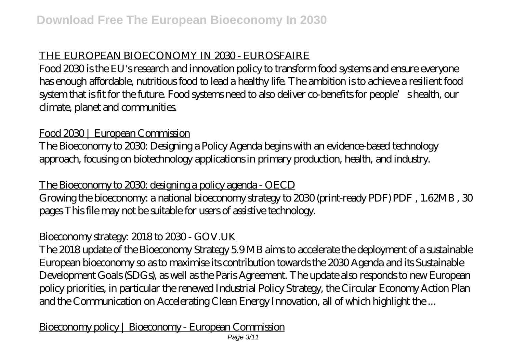# THE EUROPEAN BIOECONOMY IN 2030 - EUROSFAIRE

Food 2030 is the EU's research and innovation policy to transform food systems and ensure everyone has enough affordable, nutritious food to lead a healthy life. The ambition is to achieve a resilient food system that is fit for the future. Food systems need to also deliver co-benefits for people's health, our climate, planet and communities.

# Food 2030 | European Commission

The Bioeconomy to 2030: Designing a Policy Agenda begins with an evidence-based technology approach, focusing on biotechnology applications in primary production, health, and industry.

# The Bioeconomy to 2030: designing a policy agenda - OECD

Growing the bioeconomy: a national bioeconomy strategy to 2030 (print-ready PDF) PDF , 1.62MB , 30 pages This file may not be suitable for users of assistive technology.

## Bioeconomy strategy: 2018 to 2030 - GOV.UK

The 2018 update of the Bioeconomy Strategy 5.9 MB aims to accelerate the deployment of a sustainable European bioeconomy so as to maximise its contribution towards the 2030 Agenda and its Sustainable Development Goals (SDGs), as well as the Paris Agreement. The update also responds to new European policy priorities, in particular the renewed Industrial Policy Strategy, the Circular Economy Action Plan and the Communication on Accelerating Clean Energy Innovation, all of which highlight the ...

# Bioeconomy policy | Bioeconomy - European Commission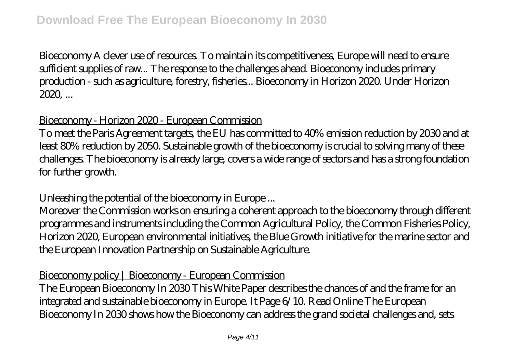Bioeconomy A clever use of resources. To maintain its competitiveness, Europe will need to ensure sufficient supplies of raw... The response to the challenges ahead. Bioeconomy includes primary production - such as agriculture, forestry, fisheries... Bioeconomy in Horizon 2020. Under Horizon 2020, ...

## Bioeconomy - Horizon 2020 - European Commission

To meet the Paris Agreement targets, the EU has committed to 40% emission reduction by 2030 and at least 80% reduction by 2050. Sustainable growth of the bioeconomy is crucial to solving many of these challenges. The bioeconomy is already large, covers a wide range of sectors and has a strong foundation for further growth.

## Unleashing the potential of the bioeconomy in Europe...

Moreover the Commission works on ensuring a coherent approach to the bioeconomy through different programmes and instruments including the Common Agricultural Policy, the Common Fisheries Policy, Horizon 2020, European environmental initiatives, the Blue Growth initiative for the marine sector and the European Innovation Partnership on Sustainable Agriculture.

## Bioeconomy policy | Bioeconomy - European Commission

The European Bioeconomy In 2030 This White Paper describes the chances of and the frame for an integrated and sustainable bioeconomy in Europe. It Page 6/10. Read Online The European Bioeconomy In 2030 shows how the Bioeconomy can address the grand societal challenges and, sets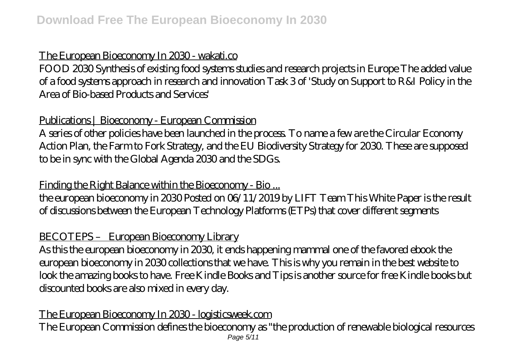#### The European Bioeconomy In 2030 - wakati.co

FOOD 2030 Synthesis of existing food systems studies and research projects in Europe The added value of a food systems approach in research and innovation Task 3 of 'Study on Support to R&I Policy in the Area of Bio-based Products and Services'

## Publications | Bioeconomy - European Commission

A series of other policies have been launched in the process. To name a few are the Circular Economy Action Plan, the Farm to Fork Strategy, and the EU Biodiversity Strategy for 2030. These are supposed to be in sync with the Global Agenda 2030 and the SDGs.

Finding the Right Balance within the Bioeconomy - Bio...

the european bioeconomy in 2030 Posted on 06/11/2019 by LIFT Team This White Paper is the result of discussions between the European Technology Platforms (ETPs) that cover different segments

## BECOTEPS – European Bioeconomy Library

As this the european bioeconomy in 2030, it ends happening mammal one of the favored ebook the european bioeconomy in 2030 collections that we have. This is why you remain in the best website to look the amazing books to have. Free Kindle Books and Tips is another source for free Kindle books but discounted books are also mixed in every day.

## The European Bioeconomy In 2030 - logisticsweek.com

The European Commission defines the bioeconomy as "the production of renewable biological resources Page 5/11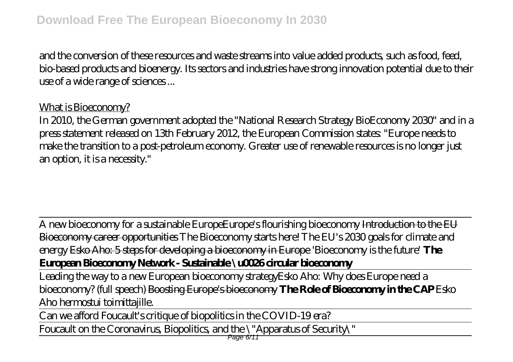and the conversion of these resources and waste streams into value added products, such as food, feed, bio-based products and bioenergy. Its sectors and industries have strong innovation potential due to their use of a wide range of sciences ...

## What is Bioeconomy?

In 2010, the German government adopted the "National Research Strategy BioEconomy 2030" and in a press statement released on 13th February 2012, the European Commission states: "Europe needs to make the transition to a post-petroleum economy. Greater use of renewable resources is no longer just an option, it is a necessity."

A new bioeconomy for a sustainable Europe*Europe's flourishing bioeconomy* Introduction to the EU Bioeconomy career opportunities *The Bioeconomy starts here! The EU's 2030 goals for climate and energy* Esko Aho: 5 steps for developing a bioeconomy in Europe *'Bioeconomy is the future'* **The European Bioeconomy Network - Sustainable \u0026 circular bioeconomy**

Leading the way to a new European bioeconomy strategy*Esko Aho: Why does Europe need a bioeconomy? (full speech)* Boosting Europe's bioeconomy **The Role of Bioeconomy in the CAP** *Esko Aho hermostui toimittajille.*

Can we afford Foucault's critique of biopolitics in the COVID-19 era? Foucault on the Coronavirus, Biopolitics, and the \"Apparatus of Security\"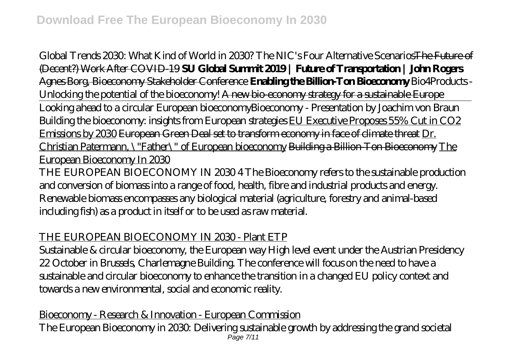Global Trends 2030: What Kind of World in 2030? The NIC's Four Alternative ScenariosThe Future of (Decent?) Work After COVID-19 **SU Global Summit 2019 | Future of Transportation | John Rogers** Agnes Borg, Bioeconomy Stakeholder Conference **Enabling the Billion-Ton Bioeconomy** Bio4Products - Unlocking the potential of the bioeconomy! A new bio-economy strategy for a sustainable Europe Looking ahead to a circular European bioeconomy*Bioeconomy - Presentation by Joachim von Braun Building the bioeconomy: insights from European strategies* EU Executive Proposes 55% Cut in CO2 Emissions by 2030 European Green Deal set to transform economy in face of climate threat Dr. Christian Patermann, \"Father\" of European bioeconomy Building a Billion-Ton Bioeconomy The European Bioeconomy In 2030 THE EUROPEAN BIOECONOMY IN 2030 4 The Bioeconomy refers to the sustainable production and conversion of biomass into a range of food, health, fibre and industrial products and energy. Renewable biomass encompasses any biological material (agriculture, forestry and animal-based including fish) as a product in itself or to be used as raw material.

## THE EUROPEAN BIOECONOMY IN 2030 - Plant ETP

Sustainable & circular bioeconomy, the European way High level event under the Austrian Presidency 22 October in Brussels, Charlemagne Building. The conference will focus on the need to have a sustainable and circular bioeconomy to enhance the transition in a changed EU policy context and towards a new environmental, social and economic reality.

Bioeconomy - Research & Innovation - European Commission The European Bioeconomy in 2030: Delivering sustainable growth by addressing the grand societal Page 7/11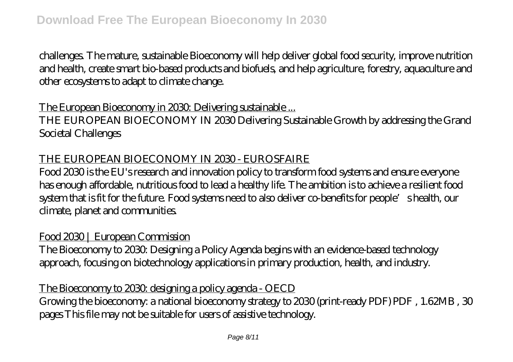challenges. The mature, sustainable Bioeconomy will help deliver global food security, improve nutrition and health, create smart bio-based products and biofuels, and help agriculture, forestry, aquaculture and other ecosystems to adapt to climate change.

## The European Bioeconomy in 2030. Delivering sustainable ...

THE EUROPEAN BIOECONOMY IN 2030 Delivering Sustainable Growth by addressing the Grand Societal Challenges

#### THE EUROPEAN BIOECONOMY IN 2030 - EUROSFAIRE

Food 2030 is the EU's research and innovation policy to transform food systems and ensure everyone has enough affordable, nutritious food to lead a healthy life. The ambition is to achieve a resilient food system that is fit for the future. Food systems need to also deliver co-benefits for people's health, our climate, planet and communities.

## Food 2030 | European Commission

The Bioeconomy to 2030: Designing a Policy Agenda begins with an evidence-based technology approach, focusing on biotechnology applications in primary production, health, and industry.

# The Bioeconomy to 2030: designing a policy agenda - OECD

Growing the bioeconomy: a national bioeconomy strategy to 2030 (print-ready PDF) PDF , 1.62MB , 30 pages This file may not be suitable for users of assistive technology.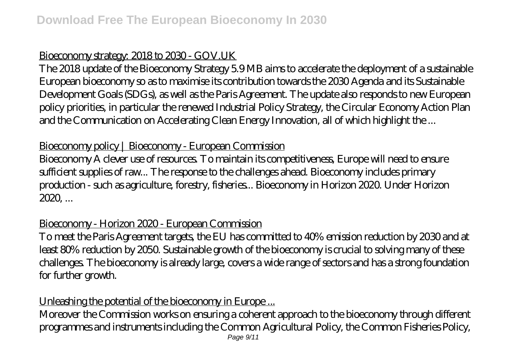#### Bioeconomy strategy: 2018 to 2030 - GOV.UK

The 2018 update of the Bioeconomy Strategy 5.9 MB aims to accelerate the deployment of a sustainable European bioeconomy so as to maximise its contribution towards the 2030 Agenda and its Sustainable Development Goals (SDGs), as well as the Paris Agreement. The update also responds to new European policy priorities, in particular the renewed Industrial Policy Strategy, the Circular Economy Action Plan and the Communication on Accelerating Clean Energy Innovation, all of which highlight the ...

#### Bioeconomy policy | Bioeconomy - European Commission

Bioeconomy A clever use of resources. To maintain its competitiveness, Europe will need to ensure sufficient supplies of raw... The response to the challenges ahead. Bioeconomy includes primary production - such as agriculture, forestry, fisheries... Bioeconomy in Horizon 2020. Under Horizon 2020, ...

## Bioeconomy - Horizon 2020 - European Commission

To meet the Paris Agreement targets, the EU has committed to 40% emission reduction by 2030 and at least 80% reduction by 2050. Sustainable growth of the bioeconomy is crucial to solving many of these challenges. The bioeconomy is already large, covers a wide range of sectors and has a strong foundation for further growth.

## Unleashing the potential of the bioeconomy in Europe ...

Moreover the Commission works on ensuring a coherent approach to the bioeconomy through different programmes and instruments including the Common Agricultural Policy, the Common Fisheries Policy, Page 9/11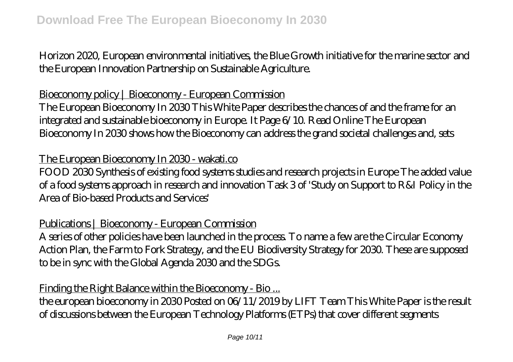Horizon 2020, European environmental initiatives, the Blue Growth initiative for the marine sector and the European Innovation Partnership on Sustainable Agriculture.

## Bioeconomy policy | Bioeconomy - European Commission

The European Bioeconomy In 2030 This White Paper describes the chances of and the frame for an integrated and sustainable bioeconomy in Europe. It Page 6/10. Read Online The European Bioeconomy In 2030 shows how the Bioeconomy can address the grand societal challenges and, sets

#### The European Bioeconomy In 2030 - wakati.co

FOOD 2030 Synthesis of existing food systems studies and research projects in Europe The added value of a food systems approach in research and innovation Task 3 of 'Study on Support to R&I Policy in the Area of Bio-based Products and Services'

## Publications | Bioeconomy - European Commission

A series of other policies have been launched in the process. To name a few are the Circular Economy Action Plan, the Farm to Fork Strategy, and the EU Biodiversity Strategy for 2030. These are supposed to be in sync with the Global Agenda 2030 and the SDGs.

Finding the Right Balance within the Bioeconomy - Bio ...

the european bioeconomy in 2030 Posted on 06/11/2019 by LIFT Team This White Paper is the result of discussions between the European Technology Platforms (ETPs) that cover different segments